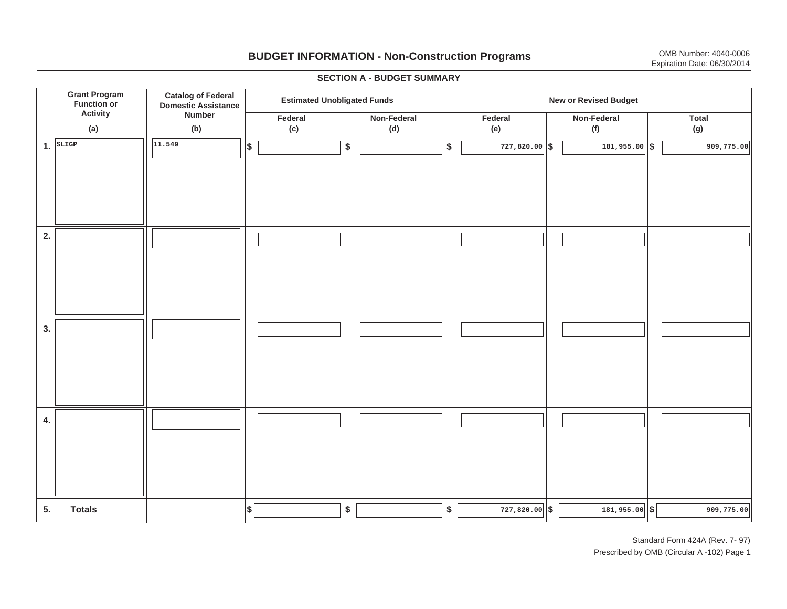# **BUDGET INFORMATION - Non-Construction Programs** OMB Number: 4040-0006 Expiration Date: 06/30/2014

**\$ Grant Program Function or Activity (a) Catalog of Federal Domestic Assistance Number (b) Estimated Unobligated Funds New or Revised Budget Federal(c) Non-Federal(d) Federal(e) Non-Federal (f) Total(g) 5. Totals4. 3. 2. 1.SLIGP \$\$\$\$**  $|\$$  727,820.00  $|\$$  **11.549 727,820.00 181,955.00 909,775.00 \$** | **1**81,955.00 | \$ | 181,955.00 | \$ | 181,955.00 | \$ | 309,775.00 I I I I I I I I I I I I I I I I I I I I I I I I I I I I I I I I I I I I I I I I I I I I

#### **SECTION A - BUDGET SUMMARY**

Standard Form 424A (Rev. 7- 97) Prescribed by OMB (Circular A -102) Page 1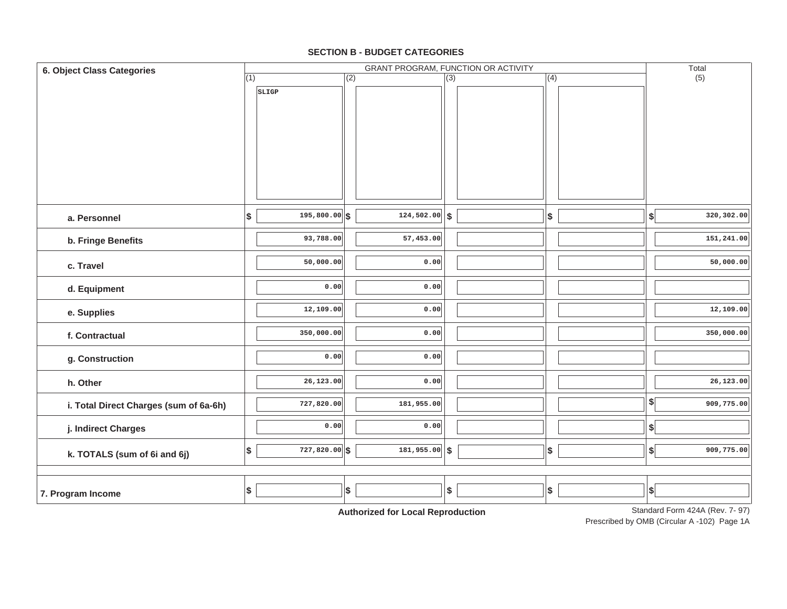#### **SECTION B - BUDGET CATEGORIES**

| 6. Object Class Categories             | GRANT PROGRAM, FUNCTION OR ACTIVITY |                 |     |                                            |                  |  |                   |  |                           | Total                          |
|----------------------------------------|-------------------------------------|-----------------|-----|--------------------------------------------|------------------|--|-------------------|--|---------------------------|--------------------------------|
|                                        | (1)                                 |                 | (2) |                                            | $\overline{(3)}$ |  | (4)               |  |                           | (5)                            |
|                                        |                                     | SLIGP           |     |                                            |                  |  |                   |  |                           |                                |
|                                        |                                     |                 |     |                                            |                  |  |                   |  |                           |                                |
|                                        |                                     |                 |     |                                            |                  |  |                   |  |                           |                                |
|                                        |                                     |                 |     |                                            |                  |  |                   |  |                           |                                |
|                                        |                                     |                 |     |                                            |                  |  |                   |  |                           |                                |
|                                        |                                     |                 |     |                                            |                  |  |                   |  |                           |                                |
|                                        |                                     |                 |     |                                            |                  |  |                   |  |                           |                                |
| a. Personnel                           | \$                                  | $195,800.00$ \$ |     | $124,502.00$ \$                            |                  |  | \$                |  | $\boldsymbol{\$}$         | 320,302.00                     |
|                                        |                                     | 93,788.00       |     | 57,453.00                                  |                  |  |                   |  |                           | 151,241.00                     |
| b. Fringe Benefits                     |                                     |                 |     |                                            |                  |  |                   |  |                           |                                |
| c. Travel                              |                                     | 50,000.00       |     | 0.00                                       |                  |  |                   |  |                           | 50,000.00                      |
| d. Equipment                           |                                     | 0.00            |     | 0.00                                       |                  |  |                   |  |                           |                                |
| e. Supplies                            |                                     | 12,109.00       |     | 0.00                                       |                  |  |                   |  |                           | 12,109.00                      |
| f. Contractual                         |                                     | 350,000.00      |     | 0.00                                       |                  |  |                   |  |                           | 350,000.00                     |
| g. Construction                        |                                     | 0.00            |     | 0.00                                       |                  |  |                   |  |                           |                                |
| h. Other                               |                                     | 26,123.00       |     | 0.00                                       |                  |  |                   |  |                           | 26,123.00                      |
| i. Total Direct Charges (sum of 6a-6h) |                                     | 727,820.00      |     | 181,955.00                                 |                  |  |                   |  | $\frac{1}{2}$             | 909,775.00                     |
| j. Indirect Charges                    |                                     | 0.00            |     | 0.00                                       |                  |  |                   |  | $\boldsymbol{\$}$         |                                |
| k. TOTALS (sum of 6i and 6j)           | \$                                  | $727,820.00$ \$ |     | 181,955.00                                 | $\vert$ \$       |  | $\boldsymbol{\$}$ |  | $\boldsymbol{\mathsf{s}}$ | 909,775.00                     |
|                                        |                                     |                 |     |                                            |                  |  |                   |  |                           |                                |
| 7. Program Income                      | \$                                  |                 | \$  |                                            | \$               |  | $$\mathbb{S}$$    |  | $\vert$ \$                |                                |
|                                        |                                     |                 |     | A contraction of Asia Indian<br>$-1$ m $-$ |                  |  |                   |  |                           | Standard Form 424A (Rev. 7-07) |

**Authorized for Local Reproduction**

Standard Form 424A (Rev. 7- 97)

Prescribed by OMB (Circular A -102) Page 1A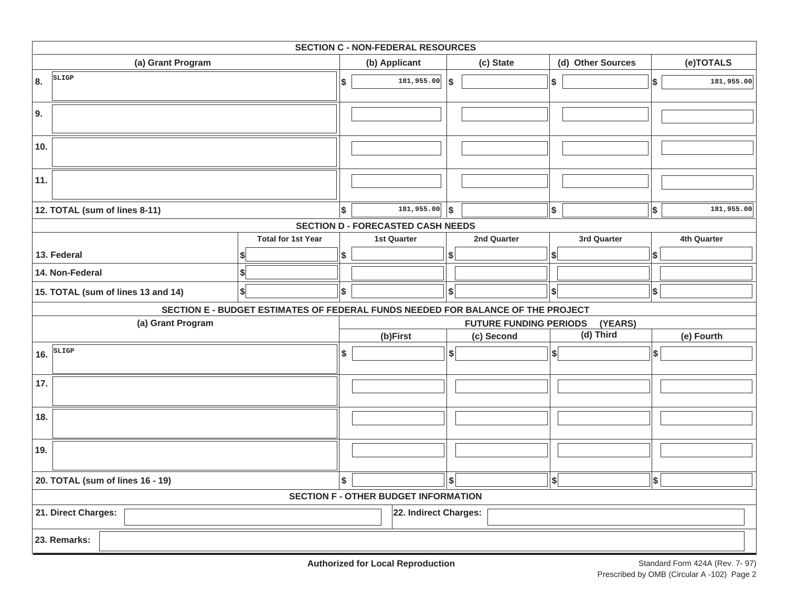| <b>SECTION C - NON-FEDERAL RESOURCES</b>                   |                                                                                 |                                          |                                             |               |             |    |                   |            |             |  |
|------------------------------------------------------------|---------------------------------------------------------------------------------|------------------------------------------|---------------------------------------------|---------------|-------------|----|-------------------|------------|-------------|--|
| (a) Grant Program                                          |                                                                                 |                                          | (b) Applicant                               |               | (c) State   |    | (d) Other Sources |            | (e)TOTALS   |  |
| SLIGP<br>8.                                                |                                                                                 | Ι\$                                      | 181,955.00                                  | \$            |             | \$ |                   | \$         | 181,955.00  |  |
| 9.                                                         |                                                                                 |                                          |                                             |               |             |    |                   |            |             |  |
| 10.                                                        |                                                                                 |                                          |                                             |               |             |    |                   |            |             |  |
| 11.                                                        |                                                                                 |                                          |                                             |               |             |    |                   |            |             |  |
| 12. TOTAL (sum of lines 8-11)                              |                                                                                 | $\vert$ \$                               | 181,955.00                                  | $\vert$ \$    |             | \$ |                   | $\vert$ \$ | 181,955.00  |  |
|                                                            |                                                                                 |                                          | <b>SECTION D - FORECASTED CASH NEEDS</b>    |               |             |    |                   |            |             |  |
|                                                            | <b>Total for 1st Year</b>                                                       |                                          | <b>1st Quarter</b>                          |               | 2nd Quarter |    | 3rd Quarter       |            | 4th Quarter |  |
| 13. Federal                                                |                                                                                 | \$                                       |                                             | \$            |             | S  |                   | \$         |             |  |
| 14. Non-Federal                                            |                                                                                 |                                          |                                             |               |             |    |                   |            |             |  |
| 15. TOTAL (sum of lines 13 and 14)                         | \$                                                                              | $\boldsymbol{\mathsf{s}}$                |                                             | $\frac{1}{2}$ |             | \$ |                   | \$         |             |  |
|                                                            | SECTION E - BUDGET ESTIMATES OF FEDERAL FUNDS NEEDED FOR BALANCE OF THE PROJECT |                                          |                                             |               |             |    |                   |            |             |  |
| (a) Grant Program                                          |                                                                                 | (YEARS)<br><b>FUTURE FUNDING PERIODS</b> |                                             |               |             |    |                   |            |             |  |
|                                                            |                                                                                 |                                          | (b)First                                    |               | (c) Second  |    | (d) Third         |            | (e) Fourth  |  |
| $\frac{1}{16.}$ $\sqrt{\frac{\text{slips}}{\text{slips}}}$ |                                                                                 | \$                                       |                                             | ∣\$           |             | s  |                   | \$         |             |  |
| 17.                                                        |                                                                                 |                                          |                                             |               |             |    |                   |            |             |  |
| 18.                                                        |                                                                                 |                                          |                                             |               |             |    |                   |            |             |  |
| 19.                                                        |                                                                                 |                                          |                                             |               |             |    |                   |            |             |  |
| 20. TOTAL (sum of lines 16 - 19)                           |                                                                                 | \$                                       |                                             | \$            |             | \$ |                   | \$         |             |  |
|                                                            |                                                                                 |                                          | <b>SECTION F - OTHER BUDGET INFORMATION</b> |               |             |    |                   |            |             |  |
| 21. Direct Charges:                                        |                                                                                 |                                          | 22. Indirect Charges:                       |               |             |    |                   |            |             |  |
| 23. Remarks:                                               |                                                                                 |                                          |                                             |               |             |    |                   |            |             |  |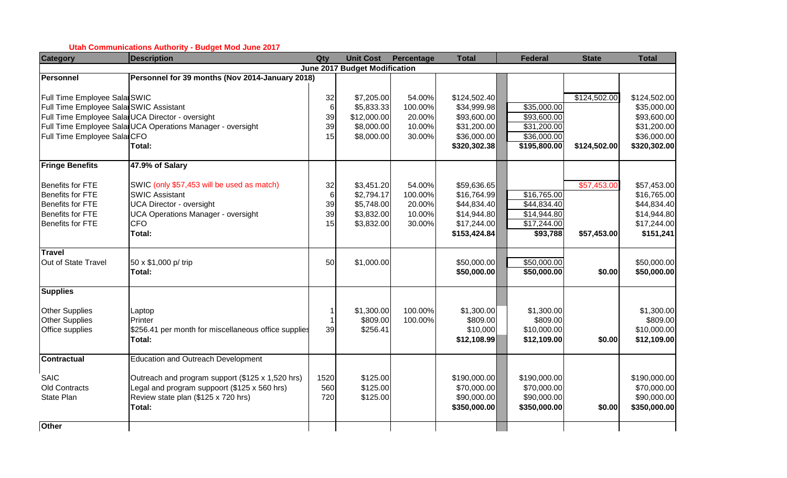#### **Utah Communications Authority - Budget Mod June 2017**

| <b>Category</b>                        | <b>Description</b>                                         | Qty   | <b>Unit Cost</b>                     | Percentage | <b>Total</b> | <b>Federal</b>          | <b>State</b> | <b>Total</b> |
|----------------------------------------|------------------------------------------------------------|-------|--------------------------------------|------------|--------------|-------------------------|--------------|--------------|
|                                        |                                                            |       | <b>June 2017 Budget Modification</b> |            |              |                         |              |              |
| <b>Personnel</b>                       | Personnel for 39 months (Nov 2014-January 2018)            |       |                                      |            |              |                         |              |              |
|                                        |                                                            |       |                                      |            |              |                         |              |              |
| Full Time Employee Sala SWIC           |                                                            | 32    | \$7,205.00                           | 54.00%     | \$124,502.40 |                         | \$124,502.00 | \$124,502.00 |
| Full Time Employee Sala SWIC Assistant |                                                            | $\,6$ | \$5,833.33                           | 100.00%    | \$34,999.98  | \$35,000.00             |              | \$35,000.00  |
|                                        | Full Time Employee Sala UCA Director - oversight           | 39    | \$12,000.00                          | 20.00%     | \$93,600.00  | \$93,600.00             |              | \$93,600.00  |
|                                        | Full Time Employee Sala UCA Operations Manager - oversight | 39    | \$8,000.00                           | 10.00%     | \$31,200.00  | \$31,200.00             |              | \$31,200.00  |
| Full Time Employee Sala CFO            |                                                            | 15    | \$8,000.00                           | 30.00%     | \$36,000.00  | \$36,000.00             |              | \$36,000.00  |
|                                        | Total:                                                     |       |                                      |            | \$320,302.38 | \$195,800.00            | \$124,502.00 | \$320,302.00 |
| <b>Fringe Benefits</b>                 | 47.9% of Salary                                            |       |                                      |            |              |                         |              |              |
| <b>Benefits for FTE</b>                | SWIC (only \$57,453 will be used as match)                 | 32    | \$3,451.20                           | 54.00%     | \$59,636.65  |                         | \$57,453.00  | \$57,453.00  |
| <b>Benefits for FTE</b>                | <b>SWIC Assistant</b>                                      | $\,6$ | \$2,794.17                           | 100.00%    | \$16,764.99  | \$16,765.00             |              | \$16,765.00  |
| Benefits for FTE                       | <b>UCA Director - oversight</b>                            | 39    | \$5,748.00                           | 20.00%     | \$44,834.40  | \$44,834.40             |              | \$44,834.40  |
| <b>Benefits for FTE</b>                | <b>UCA Operations Manager - oversight</b>                  | 39    | \$3,832.00                           | 10.00%     | \$14,944.80  | $\overline{$}14,944.80$ |              | \$14,944.80  |
| Benefits for FTE                       | <b>CFO</b>                                                 | 15    | \$3,832.00                           | 30.00%     | \$17,244.00  | \$17,244.00             |              | \$17,244.00  |
|                                        | Total:                                                     |       |                                      |            | \$153,424.84 | \$93,788                | \$57,453.00  | \$151,241    |
| <b>Travel</b>                          |                                                            |       |                                      |            |              |                         |              |              |
| Out of State Travel                    | 50 x \$1,000 p/ trip                                       | 50    | \$1,000.00                           |            | \$50,000.00  | \$50,000.00             |              | \$50,000.00  |
|                                        | Total:                                                     |       |                                      |            | \$50,000.00  | \$50,000.00             | \$0.00       | \$50,000.00  |
| <b>Supplies</b>                        |                                                            |       |                                      |            |              |                         |              |              |
| <b>Other Supplies</b>                  | Laptop                                                     | 1     | \$1,300.00                           | 100.00%    | \$1,300.00   | \$1,300.00              |              | \$1,300.00   |
| <b>Other Supplies</b>                  | Printer                                                    |       | \$809.00                             | 100.00%    | \$809.00     | \$809.00                |              | \$809.00     |
| Office supplies                        | \$256.41 per month for miscellaneous office supplies       | 39    | \$256.41                             |            | \$10,000     | \$10,000.00             |              | \$10,000.00  |
|                                        | Total:                                                     |       |                                      |            | \$12,108.99  | \$12,109.00             | \$0.00       | \$12,109.00  |
| <b>Contractual</b>                     | <b>Education and Outreach Development</b>                  |       |                                      |            |              |                         |              |              |
| <b>SAIC</b>                            | Outreach and program support (\$125 x 1,520 hrs)           | 1520  | \$125.00                             |            | \$190,000.00 | \$190,000.00            |              | \$190,000.00 |
| Old Contracts                          | Legal and program suppoort (\$125 x 560 hrs)               | 560   | \$125.00                             |            | \$70,000.00  | \$70,000.00             |              | \$70,000.00  |
| State Plan                             | Review state plan (\$125 x 720 hrs)                        | 720   | \$125.00                             |            | \$90,000.00  | \$90,000.00             |              | \$90,000.00  |
|                                        | Total:                                                     |       |                                      |            | \$350,000.00 | \$350,000.00            | \$0.00       | \$350,000.00 |
| <b>Other</b>                           |                                                            |       |                                      |            |              |                         |              |              |
|                                        |                                                            |       |                                      |            |              |                         |              |              |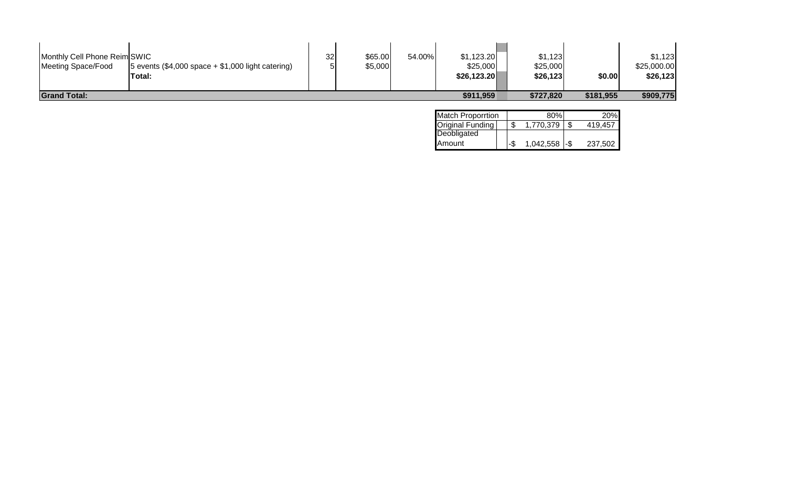| Monthly Cell Phone Reim SWIC<br>Meeting Space/Food | 5 events $(\$4,000$ space $+ $1,000$ light catering)<br>Total: | 32 | \$65.00<br>\$5,000 | 54.00% | \$1,123.20<br>\$25,000<br>\$26,123.20 | \$1,123<br>\$25,000<br>\$26,123 | \$0.00    | \$1,123<br>\$25,000.00<br>\$26,123 |
|----------------------------------------------------|----------------------------------------------------------------|----|--------------------|--------|---------------------------------------|---------------------------------|-----------|------------------------------------|
| <b>Grand Total:</b>                                |                                                                |    |                    |        | \$911,959                             | \$727,820                       | \$181,955 | \$909,775                          |

| <b>Match Proporrtion</b> | 80%                 | 20%     |
|--------------------------|---------------------|---------|
| Original Funding         | 1.770.379           | 419.457 |
| Deobligated              |                     |         |
| Amount                   | $1,042,558$ - $\$\$ | 237,502 |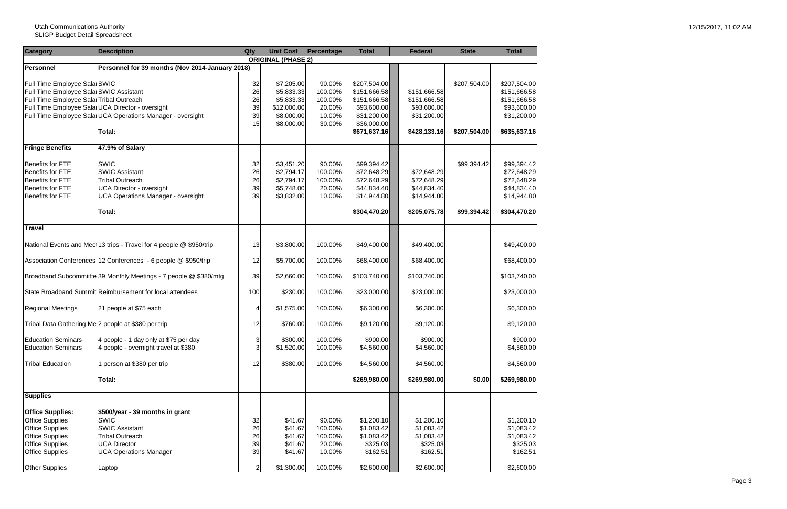| <b>Category</b>                                                         | <b>Description</b>                                                           | Qty          | <b>Unit Cost</b>          | Percentage        | <b>Total</b>                  | <b>Federal</b> | <b>State</b> | <b>Total</b>                 |
|-------------------------------------------------------------------------|------------------------------------------------------------------------------|--------------|---------------------------|-------------------|-------------------------------|----------------|--------------|------------------------------|
|                                                                         |                                                                              |              | <b>ORIGINAL (PHASE 2)</b> |                   |                               |                |              |                              |
| <b>Personnel</b>                                                        | Personnel for 39 months (Nov 2014-January 2018)                              |              |                           |                   |                               |                |              |                              |
| Full Time Employee Sala SWIC<br>Full Time Employee Salar SWIC Assistant |                                                                              | 32<br>26     | \$7,205.00<br>\$5,833.33  | 90.00%<br>100.00% | \$207,504.00<br>\$151,666.58] | \$151,666.58   | \$207,504.00 | \$207,504.00<br>\$151,666.58 |
| Full Time Employee Sala Tribal Outreach                                 |                                                                              | 26           | \$5,833.33                | 100.00%           | \$151,666.58                  | \$151,666.58   |              | \$151,666.58                 |
| Full Time Employee Sala UCA Director - oversight                        |                                                                              | 39           | \$12,000.00               | 20.00%            | \$93,600.00                   | \$93,600.00    |              | \$93,600.00                  |
|                                                                         | Full Time Employee Sala UCA Operations Manager - oversight                   | 39           | \$8,000.00                | 10.00%            | \$31,200.00                   | \$31,200.00    |              | \$31,200.00                  |
|                                                                         |                                                                              | 15           | \$8,000.00                | 30.00%            | \$36,000.00]                  |                |              |                              |
|                                                                         | Total:                                                                       |              |                           |                   | \$671,637.16                  | \$428,133.16   | \$207,504.00 | \$635,637.16                 |
| <b>Fringe Benefits</b>                                                  | 47.9% of Salary                                                              |              |                           |                   |                               |                |              |                              |
|                                                                         |                                                                              |              |                           |                   |                               |                |              |                              |
| <b>Benefits for FTE</b>                                                 | <b>SWIC</b>                                                                  | 32           | \$3,451.20                | 90.00%            | \$99,394.42                   |                | \$99,394.42  | \$99,394.42                  |
| <b>Benefits for FTE</b><br>Benefits for FTE                             | <b>SWIC Assistant</b>                                                        | 26           | \$2,794.17                | 100.00%           | \$72,648.29                   | \$72,648.29    |              | \$72,648.29                  |
|                                                                         | <b>Tribal Outreach</b>                                                       | 26           | \$2,794.17                | 100.00%           | \$72,648.29                   | \$72,648.29    |              | \$72,648.29                  |
| Benefits for FTE                                                        | <b>UCA Director - oversight</b><br><b>UCA Operations Manager - oversight</b> | 39<br>39     | \$5,748.00                | 20.00%            | \$44,834.40                   | \$44,834.40    |              | \$44,834.40                  |
| Benefits for FTE                                                        |                                                                              |              | \$3,832.00                | 10.00%            | \$14,944.80                   | \$14,944.80    |              | \$14,944.80                  |
|                                                                         | Total:                                                                       |              |                           |                   | \$304,470.20                  | \$205,075.78   | \$99,394.42  | \$304,470.20                 |
| <b>Travel</b>                                                           |                                                                              |              |                           |                   |                               |                |              |                              |
|                                                                         | National Events and Meet 13 trips - Travel for 4 people @ \$950/trip         | 13           | \$3,800.00                | 100.00%           | \$49,400.00]                  | \$49,400.00    |              | \$49,400.00                  |
|                                                                         | Association Conferences 12 Conferences - 6 people @ \$950/trip               | 12           | \$5,700.00                | 100.00%           | \$68,400.00                   | \$68,400.00    |              | \$68,400.00                  |
|                                                                         | Broadband Subcommiitte 39 Monthly Meetings - 7 people @ \$380/mtg            | 39           | \$2,660.00                | 100.00%           | \$103,740.00                  | \$103,740.00   |              | \$103,740.00                 |
|                                                                         | State Broadband Summit Reimbursement for local attendees                     | 100          | \$230.00                  | 100.00%           | \$23,000.00                   | \$23,000.00    |              | \$23,000.00                  |
| <b>Regional Meetings</b>                                                | 21 people at \$75 each                                                       | 4            | \$1,575.00                | 100.00%           | \$6,300.00                    | \$6,300.00     |              | \$6,300.00                   |
| Tribal Data Gathering Me 2 people at \$380 per trip                     |                                                                              | 12           | \$760.00                  | 100.00%           | \$9,120.00                    | \$9,120.00     |              | \$9,120.00                   |
| <b>Education Seminars</b>                                               | 4 people - 1 day only at \$75 per day                                        | $\mathbf{3}$ | \$300.00                  | 100.00%           | \$900.00                      | \$900.00       |              | \$900.00                     |
| <b>Education Seminars</b>                                               | 4 people - overnight travel at \$380                                         | 3            | \$1,520.00                | 100.00%           | \$4,560.00                    | \$4,560.00     |              | \$4,560.00                   |
| <b>Tribal Education</b>                                                 | 1 person at \$380 per trip                                                   | 12           | \$380.00                  | 100.00%           | \$4,560.00                    | \$4,560.00     |              | \$4,560.00                   |
|                                                                         |                                                                              |              |                           |                   |                               |                |              |                              |
|                                                                         | Total:                                                                       |              |                           |                   | \$269,980.00                  | \$269,980.00   | \$0.00       | \$269,980.00                 |
| <b>Supplies</b>                                                         |                                                                              |              |                           |                   |                               |                |              |                              |
| <b>Office Supplies:</b>                                                 | \$500/year - 39 months in grant                                              |              |                           |                   |                               |                |              |                              |
| <b>Office Supplies</b>                                                  | <b>SWIC</b>                                                                  | 32           | \$41.67                   | 90.00%            | \$1,200.10                    | \$1,200.10     |              | \$1,200.10                   |
| <b>Office Supplies</b>                                                  | <b>SWIC Assistant</b>                                                        | 26           | \$41.67                   | 100.00%           | \$1,083.42                    | \$1,083.42     |              | \$1,083.42                   |
| <b>Office Supplies</b>                                                  | <b>Tribal Outreach</b>                                                       | 26           | \$41.67                   | 100.00%           | \$1,083.42                    | \$1,083.42     |              | \$1,083.42                   |
| <b>Office Supplies</b>                                                  | <b>UCA Director</b>                                                          | 39           | \$41.67                   | 20.00%            | \$325.03                      | \$325.03       |              | \$325.03                     |
| <b>Office Supplies</b>                                                  | <b>UCA Operations Manager</b>                                                | 39           | \$41.67                   | 10.00%            | \$162.51                      | \$162.51       |              | \$162.51                     |
|                                                                         |                                                                              |              |                           |                   |                               |                |              |                              |
| <b>Other Supplies</b>                                                   | Laptop                                                                       | $\mathbf{2}$ | \$1,300.00                | 100.00%           | \$2,600.00                    | \$2,600.00     |              | \$2,600.00                   |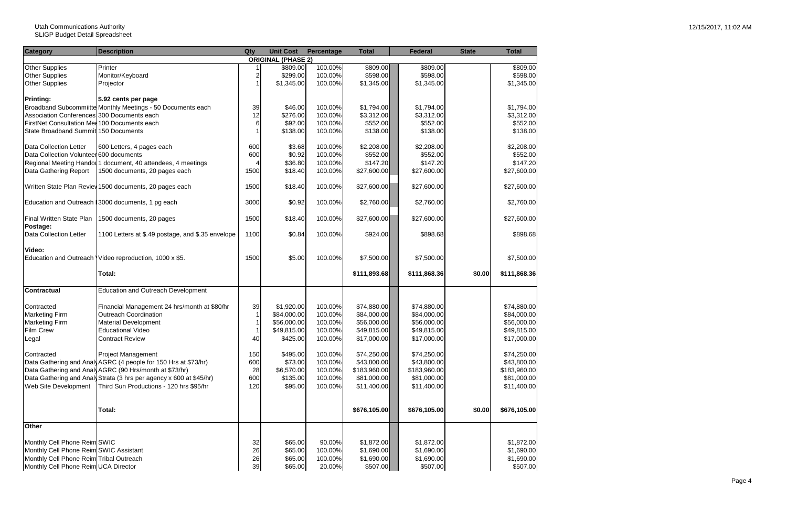| <b>ORIGINAL (PHASE 2)</b><br>100.00%<br>\$809.00<br>\$809.00<br><b>Other Supplies</b><br>Printer<br>\$809.00<br>Monitor/Keyboard<br>100.00%<br>\$598.00<br>\$598.00<br><b>Other Supplies</b><br>$\overline{c}$<br>\$299.00<br><b>Other Supplies</b><br>\$1,345.00<br>100.00%<br>\$1,345.00<br>\$1,345.00<br>Projector<br><b>Printing:</b><br>\$.92 cents per page<br>Broadband Subcommiitte Monthly Meetings - 50 Documents each<br>100.00%<br>\$1,794.00<br>39<br>\$46.00<br>\$1,794.00<br>\$1,794.00<br>Association Conferences 300 Documents each<br>12<br>\$276.00<br>100.00%<br>\$3,312.00<br>\$3,312.00<br>\$3,312.00<br>6<br>\$92.00<br>100.00%<br>\$552.00<br>\$552.00<br>FirstNet Consultation Med 100 Documents each<br>\$552.00<br>\$138.00<br>State Broadband Summit 150 Documents<br>\$138.00<br>100.00%<br>\$138.00<br>\$138.00<br>100.00%<br>\$2,208.00<br>Data Collection Letter<br>600 Letters, 4 pages each<br>600<br>\$3.68<br>\$2,208.00<br>\$2,208.00<br>600<br>\$0.92<br>100.00%<br>\$552.00<br>Data Collection Volunteer 600 documents<br>\$552.00<br>\$36.80<br>100.00%<br>\$147.20<br>Regional Meeting Handou 1 document, 40 attendees, 4 meetings<br>\$147.20<br>\$147.20<br>4<br>1500 documents, 20 pages each<br>1500<br>\$18.40<br>100.00%<br>\$27,600.00<br>\$27,600.00<br>Data Gathering Report<br>\$27,600.00<br>\$27,600.00<br>Written State Plan Review 1500 documents, 20 pages each<br>\$18.40<br>100.00%<br>\$27,600.00<br>1500<br>Education and Outreach 13000 documents, 1 pg each<br>3000<br>\$0.92<br>100.00%<br>\$2,760.00<br>\$2,760.00<br><b>Final Written State Plan</b><br>1500 documents, 20 pages<br>\$18.40<br>100.00%<br>\$27,600.00<br>\$27,600.00<br>\$27,600.00<br>1500<br>Postage:<br>100.00%<br>Data Collection Letter<br>1100 Letters at \$.49 postage, and \$.35 envelope<br>1100<br>\$0.84<br>\$924.00<br>\$898.68<br>Video:<br>100.00%<br>Education and Outreach Video reproduction, 1000 x \$5.<br>1500<br>\$5.00<br>\$7,500.00<br>\$7,500.00<br>\$7,500.00<br>\$111,893.68<br>\$111,868.36<br>\$0.00<br>Total:<br><b>Contractual</b><br><b>Education and Outreach Development</b><br>Financial Management 24 hrs/month at \$80/hr<br>39<br>\$1,920.00<br>100.00%<br>\$74,880.00<br>\$74,880.00<br>\$74,880.00<br>Contracted<br>Outreach Coordination<br><b>Marketing Firm</b><br>$\mathbf{1}$<br>\$84,000.00<br>100.00%<br>\$84,000.00<br>\$84,000.00<br>\$84,000.00<br><b>Marketing Firm</b><br><b>Material Development</b><br>\$56,000.00<br>100.00%<br>\$56,000.00<br>\$56,000.00<br>\$56,000.00<br><b>Film Crew</b><br>\$49,815.00<br>100.00%<br>\$49,815.00<br>\$49,815.00<br>\$49,815.00<br><b>Educational Video</b><br>\$17,000.00<br><b>Contract Review</b><br>\$425.00<br>100.00%<br>\$17,000.00<br>\$17,000.00<br>Legal<br>40<br>\$495.00<br>100.00%<br>\$74,250.00<br>\$74,250.00<br>\$74,250.00<br>Contracted<br><b>Project Management</b><br>150<br>\$73.00<br>Data Gathering and Analy AGRC (4 people for 150 Hrs at \$73/hr)<br>600<br>100.00%<br>\$43,800.00<br>\$43,800.00<br>\$43,800.00<br>Data Gathering and Analy AGRC (90 Hrs/month at \$73/hr)<br>100.00%<br>\$183,960.00<br>28<br>\$6,570.00<br>\$183,960.00<br>\$183,960.00<br>Data Gathering and Analy Strata (3 hrs per agency x 600 at \$45/hr)<br>600<br>100.00%<br>\$81,000.00<br>\$135.00<br>\$81,000.00<br>\$81,000.00<br>Web Site Development<br>Third Sun Productions - 120 hrs \$95/hr<br>120<br>\$95.00<br>100.00%<br>\$11,400.00<br>\$11,400.00<br>\$11,400.00<br><b>Total:</b><br>\$676,105.00<br>\$676,105.00<br>\$0.00<br>\$676,105.00<br><b>Other</b> | <b>Category</b> | <b>Description</b> | Qty | <b>Unit Cost</b> | Percentage | <b>Total</b> | <b>Federal</b> | <b>State</b> | <b>Total</b> |
|-------------------------------------------------------------------------------------------------------------------------------------------------------------------------------------------------------------------------------------------------------------------------------------------------------------------------------------------------------------------------------------------------------------------------------------------------------------------------------------------------------------------------------------------------------------------------------------------------------------------------------------------------------------------------------------------------------------------------------------------------------------------------------------------------------------------------------------------------------------------------------------------------------------------------------------------------------------------------------------------------------------------------------------------------------------------------------------------------------------------------------------------------------------------------------------------------------------------------------------------------------------------------------------------------------------------------------------------------------------------------------------------------------------------------------------------------------------------------------------------------------------------------------------------------------------------------------------------------------------------------------------------------------------------------------------------------------------------------------------------------------------------------------------------------------------------------------------------------------------------------------------------------------------------------------------------------------------------------------------------------------------------------------------------------------------------------------------------------------------------------------------------------------------------------------------------------------------------------------------------------------------------------------------------------------------------------------------------------------------------------------------------------------------------------------------------------------------------------------------------------------------------------------------------------------------------------------------------------------------------------------------------------------------------------------------------------------------------------------------------------------------------------------------------------------------------------------------------------------------------------------------------------------------------------------------------------------------------------------------------------------------------------------------------------------------------------------------------------------------------------------------------------------------------------------------------------------------------------------------------------------------------------------------------------------------------------------------------------------------------------------------------------------------------------------------------------------------------------------------------------------------------------------------------------------------------------------------------------------------|-----------------|--------------------|-----|------------------|------------|--------------|----------------|--------------|--------------|
|                                                                                                                                                                                                                                                                                                                                                                                                                                                                                                                                                                                                                                                                                                                                                                                                                                                                                                                                                                                                                                                                                                                                                                                                                                                                                                                                                                                                                                                                                                                                                                                                                                                                                                                                                                                                                                                                                                                                                                                                                                                                                                                                                                                                                                                                                                                                                                                                                                                                                                                                                                                                                                                                                                                                                                                                                                                                                                                                                                                                                                                                                                                                                                                                                                                                                                                                                                                                                                                                                                                                                                                                             |                 |                    |     |                  |            |              |                |              |              |
|                                                                                                                                                                                                                                                                                                                                                                                                                                                                                                                                                                                                                                                                                                                                                                                                                                                                                                                                                                                                                                                                                                                                                                                                                                                                                                                                                                                                                                                                                                                                                                                                                                                                                                                                                                                                                                                                                                                                                                                                                                                                                                                                                                                                                                                                                                                                                                                                                                                                                                                                                                                                                                                                                                                                                                                                                                                                                                                                                                                                                                                                                                                                                                                                                                                                                                                                                                                                                                                                                                                                                                                                             |                 |                    |     |                  |            |              |                |              | \$809.00     |
|                                                                                                                                                                                                                                                                                                                                                                                                                                                                                                                                                                                                                                                                                                                                                                                                                                                                                                                                                                                                                                                                                                                                                                                                                                                                                                                                                                                                                                                                                                                                                                                                                                                                                                                                                                                                                                                                                                                                                                                                                                                                                                                                                                                                                                                                                                                                                                                                                                                                                                                                                                                                                                                                                                                                                                                                                                                                                                                                                                                                                                                                                                                                                                                                                                                                                                                                                                                                                                                                                                                                                                                                             |                 |                    |     |                  |            |              |                |              | \$598.00     |
|                                                                                                                                                                                                                                                                                                                                                                                                                                                                                                                                                                                                                                                                                                                                                                                                                                                                                                                                                                                                                                                                                                                                                                                                                                                                                                                                                                                                                                                                                                                                                                                                                                                                                                                                                                                                                                                                                                                                                                                                                                                                                                                                                                                                                                                                                                                                                                                                                                                                                                                                                                                                                                                                                                                                                                                                                                                                                                                                                                                                                                                                                                                                                                                                                                                                                                                                                                                                                                                                                                                                                                                                             |                 |                    |     |                  |            |              |                |              | \$1,345.00   |
|                                                                                                                                                                                                                                                                                                                                                                                                                                                                                                                                                                                                                                                                                                                                                                                                                                                                                                                                                                                                                                                                                                                                                                                                                                                                                                                                                                                                                                                                                                                                                                                                                                                                                                                                                                                                                                                                                                                                                                                                                                                                                                                                                                                                                                                                                                                                                                                                                                                                                                                                                                                                                                                                                                                                                                                                                                                                                                                                                                                                                                                                                                                                                                                                                                                                                                                                                                                                                                                                                                                                                                                                             |                 |                    |     |                  |            |              |                |              |              |
|                                                                                                                                                                                                                                                                                                                                                                                                                                                                                                                                                                                                                                                                                                                                                                                                                                                                                                                                                                                                                                                                                                                                                                                                                                                                                                                                                                                                                                                                                                                                                                                                                                                                                                                                                                                                                                                                                                                                                                                                                                                                                                                                                                                                                                                                                                                                                                                                                                                                                                                                                                                                                                                                                                                                                                                                                                                                                                                                                                                                                                                                                                                                                                                                                                                                                                                                                                                                                                                                                                                                                                                                             |                 |                    |     |                  |            |              |                |              |              |
|                                                                                                                                                                                                                                                                                                                                                                                                                                                                                                                                                                                                                                                                                                                                                                                                                                                                                                                                                                                                                                                                                                                                                                                                                                                                                                                                                                                                                                                                                                                                                                                                                                                                                                                                                                                                                                                                                                                                                                                                                                                                                                                                                                                                                                                                                                                                                                                                                                                                                                                                                                                                                                                                                                                                                                                                                                                                                                                                                                                                                                                                                                                                                                                                                                                                                                                                                                                                                                                                                                                                                                                                             |                 |                    |     |                  |            |              |                |              |              |
|                                                                                                                                                                                                                                                                                                                                                                                                                                                                                                                                                                                                                                                                                                                                                                                                                                                                                                                                                                                                                                                                                                                                                                                                                                                                                                                                                                                                                                                                                                                                                                                                                                                                                                                                                                                                                                                                                                                                                                                                                                                                                                                                                                                                                                                                                                                                                                                                                                                                                                                                                                                                                                                                                                                                                                                                                                                                                                                                                                                                                                                                                                                                                                                                                                                                                                                                                                                                                                                                                                                                                                                                             |                 |                    |     |                  |            |              |                |              |              |
|                                                                                                                                                                                                                                                                                                                                                                                                                                                                                                                                                                                                                                                                                                                                                                                                                                                                                                                                                                                                                                                                                                                                                                                                                                                                                                                                                                                                                                                                                                                                                                                                                                                                                                                                                                                                                                                                                                                                                                                                                                                                                                                                                                                                                                                                                                                                                                                                                                                                                                                                                                                                                                                                                                                                                                                                                                                                                                                                                                                                                                                                                                                                                                                                                                                                                                                                                                                                                                                                                                                                                                                                             |                 |                    |     |                  |            |              |                |              |              |
|                                                                                                                                                                                                                                                                                                                                                                                                                                                                                                                                                                                                                                                                                                                                                                                                                                                                                                                                                                                                                                                                                                                                                                                                                                                                                                                                                                                                                                                                                                                                                                                                                                                                                                                                                                                                                                                                                                                                                                                                                                                                                                                                                                                                                                                                                                                                                                                                                                                                                                                                                                                                                                                                                                                                                                                                                                                                                                                                                                                                                                                                                                                                                                                                                                                                                                                                                                                                                                                                                                                                                                                                             |                 |                    |     |                  |            |              |                |              |              |
|                                                                                                                                                                                                                                                                                                                                                                                                                                                                                                                                                                                                                                                                                                                                                                                                                                                                                                                                                                                                                                                                                                                                                                                                                                                                                                                                                                                                                                                                                                                                                                                                                                                                                                                                                                                                                                                                                                                                                                                                                                                                                                                                                                                                                                                                                                                                                                                                                                                                                                                                                                                                                                                                                                                                                                                                                                                                                                                                                                                                                                                                                                                                                                                                                                                                                                                                                                                                                                                                                                                                                                                                             |                 |                    |     |                  |            |              |                |              |              |
|                                                                                                                                                                                                                                                                                                                                                                                                                                                                                                                                                                                                                                                                                                                                                                                                                                                                                                                                                                                                                                                                                                                                                                                                                                                                                                                                                                                                                                                                                                                                                                                                                                                                                                                                                                                                                                                                                                                                                                                                                                                                                                                                                                                                                                                                                                                                                                                                                                                                                                                                                                                                                                                                                                                                                                                                                                                                                                                                                                                                                                                                                                                                                                                                                                                                                                                                                                                                                                                                                                                                                                                                             |                 |                    |     |                  |            |              |                |              | \$552.00     |
|                                                                                                                                                                                                                                                                                                                                                                                                                                                                                                                                                                                                                                                                                                                                                                                                                                                                                                                                                                                                                                                                                                                                                                                                                                                                                                                                                                                                                                                                                                                                                                                                                                                                                                                                                                                                                                                                                                                                                                                                                                                                                                                                                                                                                                                                                                                                                                                                                                                                                                                                                                                                                                                                                                                                                                                                                                                                                                                                                                                                                                                                                                                                                                                                                                                                                                                                                                                                                                                                                                                                                                                                             |                 |                    |     |                  |            |              |                |              |              |
|                                                                                                                                                                                                                                                                                                                                                                                                                                                                                                                                                                                                                                                                                                                                                                                                                                                                                                                                                                                                                                                                                                                                                                                                                                                                                                                                                                                                                                                                                                                                                                                                                                                                                                                                                                                                                                                                                                                                                                                                                                                                                                                                                                                                                                                                                                                                                                                                                                                                                                                                                                                                                                                                                                                                                                                                                                                                                                                                                                                                                                                                                                                                                                                                                                                                                                                                                                                                                                                                                                                                                                                                             |                 |                    |     |                  |            |              |                |              |              |
|                                                                                                                                                                                                                                                                                                                                                                                                                                                                                                                                                                                                                                                                                                                                                                                                                                                                                                                                                                                                                                                                                                                                                                                                                                                                                                                                                                                                                                                                                                                                                                                                                                                                                                                                                                                                                                                                                                                                                                                                                                                                                                                                                                                                                                                                                                                                                                                                                                                                                                                                                                                                                                                                                                                                                                                                                                                                                                                                                                                                                                                                                                                                                                                                                                                                                                                                                                                                                                                                                                                                                                                                             |                 |                    |     |                  |            |              |                |              |              |
|                                                                                                                                                                                                                                                                                                                                                                                                                                                                                                                                                                                                                                                                                                                                                                                                                                                                                                                                                                                                                                                                                                                                                                                                                                                                                                                                                                                                                                                                                                                                                                                                                                                                                                                                                                                                                                                                                                                                                                                                                                                                                                                                                                                                                                                                                                                                                                                                                                                                                                                                                                                                                                                                                                                                                                                                                                                                                                                                                                                                                                                                                                                                                                                                                                                                                                                                                                                                                                                                                                                                                                                                             |                 |                    |     |                  |            |              |                |              | \$27,600.00  |
|                                                                                                                                                                                                                                                                                                                                                                                                                                                                                                                                                                                                                                                                                                                                                                                                                                                                                                                                                                                                                                                                                                                                                                                                                                                                                                                                                                                                                                                                                                                                                                                                                                                                                                                                                                                                                                                                                                                                                                                                                                                                                                                                                                                                                                                                                                                                                                                                                                                                                                                                                                                                                                                                                                                                                                                                                                                                                                                                                                                                                                                                                                                                                                                                                                                                                                                                                                                                                                                                                                                                                                                                             |                 |                    |     |                  |            |              |                |              | \$2,760.00   |
|                                                                                                                                                                                                                                                                                                                                                                                                                                                                                                                                                                                                                                                                                                                                                                                                                                                                                                                                                                                                                                                                                                                                                                                                                                                                                                                                                                                                                                                                                                                                                                                                                                                                                                                                                                                                                                                                                                                                                                                                                                                                                                                                                                                                                                                                                                                                                                                                                                                                                                                                                                                                                                                                                                                                                                                                                                                                                                                                                                                                                                                                                                                                                                                                                                                                                                                                                                                                                                                                                                                                                                                                             |                 |                    |     |                  |            |              |                |              |              |
|                                                                                                                                                                                                                                                                                                                                                                                                                                                                                                                                                                                                                                                                                                                                                                                                                                                                                                                                                                                                                                                                                                                                                                                                                                                                                                                                                                                                                                                                                                                                                                                                                                                                                                                                                                                                                                                                                                                                                                                                                                                                                                                                                                                                                                                                                                                                                                                                                                                                                                                                                                                                                                                                                                                                                                                                                                                                                                                                                                                                                                                                                                                                                                                                                                                                                                                                                                                                                                                                                                                                                                                                             |                 |                    |     |                  |            |              |                |              |              |
|                                                                                                                                                                                                                                                                                                                                                                                                                                                                                                                                                                                                                                                                                                                                                                                                                                                                                                                                                                                                                                                                                                                                                                                                                                                                                                                                                                                                                                                                                                                                                                                                                                                                                                                                                                                                                                                                                                                                                                                                                                                                                                                                                                                                                                                                                                                                                                                                                                                                                                                                                                                                                                                                                                                                                                                                                                                                                                                                                                                                                                                                                                                                                                                                                                                                                                                                                                                                                                                                                                                                                                                                             |                 |                    |     |                  |            |              |                |              | \$898.68     |
|                                                                                                                                                                                                                                                                                                                                                                                                                                                                                                                                                                                                                                                                                                                                                                                                                                                                                                                                                                                                                                                                                                                                                                                                                                                                                                                                                                                                                                                                                                                                                                                                                                                                                                                                                                                                                                                                                                                                                                                                                                                                                                                                                                                                                                                                                                                                                                                                                                                                                                                                                                                                                                                                                                                                                                                                                                                                                                                                                                                                                                                                                                                                                                                                                                                                                                                                                                                                                                                                                                                                                                                                             |                 |                    |     |                  |            |              |                |              |              |
|                                                                                                                                                                                                                                                                                                                                                                                                                                                                                                                                                                                                                                                                                                                                                                                                                                                                                                                                                                                                                                                                                                                                                                                                                                                                                                                                                                                                                                                                                                                                                                                                                                                                                                                                                                                                                                                                                                                                                                                                                                                                                                                                                                                                                                                                                                                                                                                                                                                                                                                                                                                                                                                                                                                                                                                                                                                                                                                                                                                                                                                                                                                                                                                                                                                                                                                                                                                                                                                                                                                                                                                                             |                 |                    |     |                  |            |              |                |              |              |
|                                                                                                                                                                                                                                                                                                                                                                                                                                                                                                                                                                                                                                                                                                                                                                                                                                                                                                                                                                                                                                                                                                                                                                                                                                                                                                                                                                                                                                                                                                                                                                                                                                                                                                                                                                                                                                                                                                                                                                                                                                                                                                                                                                                                                                                                                                                                                                                                                                                                                                                                                                                                                                                                                                                                                                                                                                                                                                                                                                                                                                                                                                                                                                                                                                                                                                                                                                                                                                                                                                                                                                                                             |                 |                    |     |                  |            |              |                |              |              |
|                                                                                                                                                                                                                                                                                                                                                                                                                                                                                                                                                                                                                                                                                                                                                                                                                                                                                                                                                                                                                                                                                                                                                                                                                                                                                                                                                                                                                                                                                                                                                                                                                                                                                                                                                                                                                                                                                                                                                                                                                                                                                                                                                                                                                                                                                                                                                                                                                                                                                                                                                                                                                                                                                                                                                                                                                                                                                                                                                                                                                                                                                                                                                                                                                                                                                                                                                                                                                                                                                                                                                                                                             |                 |                    |     |                  |            |              |                |              | \$111,868.36 |
|                                                                                                                                                                                                                                                                                                                                                                                                                                                                                                                                                                                                                                                                                                                                                                                                                                                                                                                                                                                                                                                                                                                                                                                                                                                                                                                                                                                                                                                                                                                                                                                                                                                                                                                                                                                                                                                                                                                                                                                                                                                                                                                                                                                                                                                                                                                                                                                                                                                                                                                                                                                                                                                                                                                                                                                                                                                                                                                                                                                                                                                                                                                                                                                                                                                                                                                                                                                                                                                                                                                                                                                                             |                 |                    |     |                  |            |              |                |              |              |
|                                                                                                                                                                                                                                                                                                                                                                                                                                                                                                                                                                                                                                                                                                                                                                                                                                                                                                                                                                                                                                                                                                                                                                                                                                                                                                                                                                                                                                                                                                                                                                                                                                                                                                                                                                                                                                                                                                                                                                                                                                                                                                                                                                                                                                                                                                                                                                                                                                                                                                                                                                                                                                                                                                                                                                                                                                                                                                                                                                                                                                                                                                                                                                                                                                                                                                                                                                                                                                                                                                                                                                                                             |                 |                    |     |                  |            |              |                |              |              |
|                                                                                                                                                                                                                                                                                                                                                                                                                                                                                                                                                                                                                                                                                                                                                                                                                                                                                                                                                                                                                                                                                                                                                                                                                                                                                                                                                                                                                                                                                                                                                                                                                                                                                                                                                                                                                                                                                                                                                                                                                                                                                                                                                                                                                                                                                                                                                                                                                                                                                                                                                                                                                                                                                                                                                                                                                                                                                                                                                                                                                                                                                                                                                                                                                                                                                                                                                                                                                                                                                                                                                                                                             |                 |                    |     |                  |            |              |                |              |              |
|                                                                                                                                                                                                                                                                                                                                                                                                                                                                                                                                                                                                                                                                                                                                                                                                                                                                                                                                                                                                                                                                                                                                                                                                                                                                                                                                                                                                                                                                                                                                                                                                                                                                                                                                                                                                                                                                                                                                                                                                                                                                                                                                                                                                                                                                                                                                                                                                                                                                                                                                                                                                                                                                                                                                                                                                                                                                                                                                                                                                                                                                                                                                                                                                                                                                                                                                                                                                                                                                                                                                                                                                             |                 |                    |     |                  |            |              |                |              |              |
|                                                                                                                                                                                                                                                                                                                                                                                                                                                                                                                                                                                                                                                                                                                                                                                                                                                                                                                                                                                                                                                                                                                                                                                                                                                                                                                                                                                                                                                                                                                                                                                                                                                                                                                                                                                                                                                                                                                                                                                                                                                                                                                                                                                                                                                                                                                                                                                                                                                                                                                                                                                                                                                                                                                                                                                                                                                                                                                                                                                                                                                                                                                                                                                                                                                                                                                                                                                                                                                                                                                                                                                                             |                 |                    |     |                  |            |              |                |              |              |
|                                                                                                                                                                                                                                                                                                                                                                                                                                                                                                                                                                                                                                                                                                                                                                                                                                                                                                                                                                                                                                                                                                                                                                                                                                                                                                                                                                                                                                                                                                                                                                                                                                                                                                                                                                                                                                                                                                                                                                                                                                                                                                                                                                                                                                                                                                                                                                                                                                                                                                                                                                                                                                                                                                                                                                                                                                                                                                                                                                                                                                                                                                                                                                                                                                                                                                                                                                                                                                                                                                                                                                                                             |                 |                    |     |                  |            |              |                |              |              |
|                                                                                                                                                                                                                                                                                                                                                                                                                                                                                                                                                                                                                                                                                                                                                                                                                                                                                                                                                                                                                                                                                                                                                                                                                                                                                                                                                                                                                                                                                                                                                                                                                                                                                                                                                                                                                                                                                                                                                                                                                                                                                                                                                                                                                                                                                                                                                                                                                                                                                                                                                                                                                                                                                                                                                                                                                                                                                                                                                                                                                                                                                                                                                                                                                                                                                                                                                                                                                                                                                                                                                                                                             |                 |                    |     |                  |            |              |                |              |              |
|                                                                                                                                                                                                                                                                                                                                                                                                                                                                                                                                                                                                                                                                                                                                                                                                                                                                                                                                                                                                                                                                                                                                                                                                                                                                                                                                                                                                                                                                                                                                                                                                                                                                                                                                                                                                                                                                                                                                                                                                                                                                                                                                                                                                                                                                                                                                                                                                                                                                                                                                                                                                                                                                                                                                                                                                                                                                                                                                                                                                                                                                                                                                                                                                                                                                                                                                                                                                                                                                                                                                                                                                             |                 |                    |     |                  |            |              |                |              |              |
|                                                                                                                                                                                                                                                                                                                                                                                                                                                                                                                                                                                                                                                                                                                                                                                                                                                                                                                                                                                                                                                                                                                                                                                                                                                                                                                                                                                                                                                                                                                                                                                                                                                                                                                                                                                                                                                                                                                                                                                                                                                                                                                                                                                                                                                                                                                                                                                                                                                                                                                                                                                                                                                                                                                                                                                                                                                                                                                                                                                                                                                                                                                                                                                                                                                                                                                                                                                                                                                                                                                                                                                                             |                 |                    |     |                  |            |              |                |              |              |
|                                                                                                                                                                                                                                                                                                                                                                                                                                                                                                                                                                                                                                                                                                                                                                                                                                                                                                                                                                                                                                                                                                                                                                                                                                                                                                                                                                                                                                                                                                                                                                                                                                                                                                                                                                                                                                                                                                                                                                                                                                                                                                                                                                                                                                                                                                                                                                                                                                                                                                                                                                                                                                                                                                                                                                                                                                                                                                                                                                                                                                                                                                                                                                                                                                                                                                                                                                                                                                                                                                                                                                                                             |                 |                    |     |                  |            |              |                |              |              |
|                                                                                                                                                                                                                                                                                                                                                                                                                                                                                                                                                                                                                                                                                                                                                                                                                                                                                                                                                                                                                                                                                                                                                                                                                                                                                                                                                                                                                                                                                                                                                                                                                                                                                                                                                                                                                                                                                                                                                                                                                                                                                                                                                                                                                                                                                                                                                                                                                                                                                                                                                                                                                                                                                                                                                                                                                                                                                                                                                                                                                                                                                                                                                                                                                                                                                                                                                                                                                                                                                                                                                                                                             |                 |                    |     |                  |            |              |                |              |              |
|                                                                                                                                                                                                                                                                                                                                                                                                                                                                                                                                                                                                                                                                                                                                                                                                                                                                                                                                                                                                                                                                                                                                                                                                                                                                                                                                                                                                                                                                                                                                                                                                                                                                                                                                                                                                                                                                                                                                                                                                                                                                                                                                                                                                                                                                                                                                                                                                                                                                                                                                                                                                                                                                                                                                                                                                                                                                                                                                                                                                                                                                                                                                                                                                                                                                                                                                                                                                                                                                                                                                                                                                             |                 |                    |     |                  |            |              |                |              |              |
|                                                                                                                                                                                                                                                                                                                                                                                                                                                                                                                                                                                                                                                                                                                                                                                                                                                                                                                                                                                                                                                                                                                                                                                                                                                                                                                                                                                                                                                                                                                                                                                                                                                                                                                                                                                                                                                                                                                                                                                                                                                                                                                                                                                                                                                                                                                                                                                                                                                                                                                                                                                                                                                                                                                                                                                                                                                                                                                                                                                                                                                                                                                                                                                                                                                                                                                                                                                                                                                                                                                                                                                                             |                 |                    |     |                  |            |              |                |              |              |
|                                                                                                                                                                                                                                                                                                                                                                                                                                                                                                                                                                                                                                                                                                                                                                                                                                                                                                                                                                                                                                                                                                                                                                                                                                                                                                                                                                                                                                                                                                                                                                                                                                                                                                                                                                                                                                                                                                                                                                                                                                                                                                                                                                                                                                                                                                                                                                                                                                                                                                                                                                                                                                                                                                                                                                                                                                                                                                                                                                                                                                                                                                                                                                                                                                                                                                                                                                                                                                                                                                                                                                                                             |                 |                    |     |                  |            |              |                |              |              |
|                                                                                                                                                                                                                                                                                                                                                                                                                                                                                                                                                                                                                                                                                                                                                                                                                                                                                                                                                                                                                                                                                                                                                                                                                                                                                                                                                                                                                                                                                                                                                                                                                                                                                                                                                                                                                                                                                                                                                                                                                                                                                                                                                                                                                                                                                                                                                                                                                                                                                                                                                                                                                                                                                                                                                                                                                                                                                                                                                                                                                                                                                                                                                                                                                                                                                                                                                                                                                                                                                                                                                                                                             |                 |                    |     |                  |            |              |                |              |              |
|                                                                                                                                                                                                                                                                                                                                                                                                                                                                                                                                                                                                                                                                                                                                                                                                                                                                                                                                                                                                                                                                                                                                                                                                                                                                                                                                                                                                                                                                                                                                                                                                                                                                                                                                                                                                                                                                                                                                                                                                                                                                                                                                                                                                                                                                                                                                                                                                                                                                                                                                                                                                                                                                                                                                                                                                                                                                                                                                                                                                                                                                                                                                                                                                                                                                                                                                                                                                                                                                                                                                                                                                             |                 |                    |     |                  |            |              |                |              |              |
| \$1,872.00<br>\$1,872.00<br>\$65.00<br>90.00%<br>Monthly Cell Phone Reim SWIC<br>32                                                                                                                                                                                                                                                                                                                                                                                                                                                                                                                                                                                                                                                                                                                                                                                                                                                                                                                                                                                                                                                                                                                                                                                                                                                                                                                                                                                                                                                                                                                                                                                                                                                                                                                                                                                                                                                                                                                                                                                                                                                                                                                                                                                                                                                                                                                                                                                                                                                                                                                                                                                                                                                                                                                                                                                                                                                                                                                                                                                                                                                                                                                                                                                                                                                                                                                                                                                                                                                                                                                         |                 |                    |     |                  |            |              |                |              | \$1,872.00   |
| \$1,690.00<br>Monthly Cell Phone Reim SWIC Assistant<br>26<br>\$65.00<br>100.00%<br>\$1,690.00                                                                                                                                                                                                                                                                                                                                                                                                                                                                                                                                                                                                                                                                                                                                                                                                                                                                                                                                                                                                                                                                                                                                                                                                                                                                                                                                                                                                                                                                                                                                                                                                                                                                                                                                                                                                                                                                                                                                                                                                                                                                                                                                                                                                                                                                                                                                                                                                                                                                                                                                                                                                                                                                                                                                                                                                                                                                                                                                                                                                                                                                                                                                                                                                                                                                                                                                                                                                                                                                                                              |                 |                    |     |                  |            |              |                |              | \$1,690.00   |
| Monthly Cell Phone Reim Tribal Outreach<br>\$65.00<br>\$1,690.00<br>\$1,690.00<br>26<br>100.00%                                                                                                                                                                                                                                                                                                                                                                                                                                                                                                                                                                                                                                                                                                                                                                                                                                                                                                                                                                                                                                                                                                                                                                                                                                                                                                                                                                                                                                                                                                                                                                                                                                                                                                                                                                                                                                                                                                                                                                                                                                                                                                                                                                                                                                                                                                                                                                                                                                                                                                                                                                                                                                                                                                                                                                                                                                                                                                                                                                                                                                                                                                                                                                                                                                                                                                                                                                                                                                                                                                             |                 |                    |     |                  |            |              |                |              | \$1,690.00   |
| 39<br>Monthly Cell Phone Reim UCA Director<br>\$65.00<br>\$507.00<br>\$507.00<br>20.00%                                                                                                                                                                                                                                                                                                                                                                                                                                                                                                                                                                                                                                                                                                                                                                                                                                                                                                                                                                                                                                                                                                                                                                                                                                                                                                                                                                                                                                                                                                                                                                                                                                                                                                                                                                                                                                                                                                                                                                                                                                                                                                                                                                                                                                                                                                                                                                                                                                                                                                                                                                                                                                                                                                                                                                                                                                                                                                                                                                                                                                                                                                                                                                                                                                                                                                                                                                                                                                                                                                                     |                 |                    |     |                  |            |              |                |              | \$507.00     |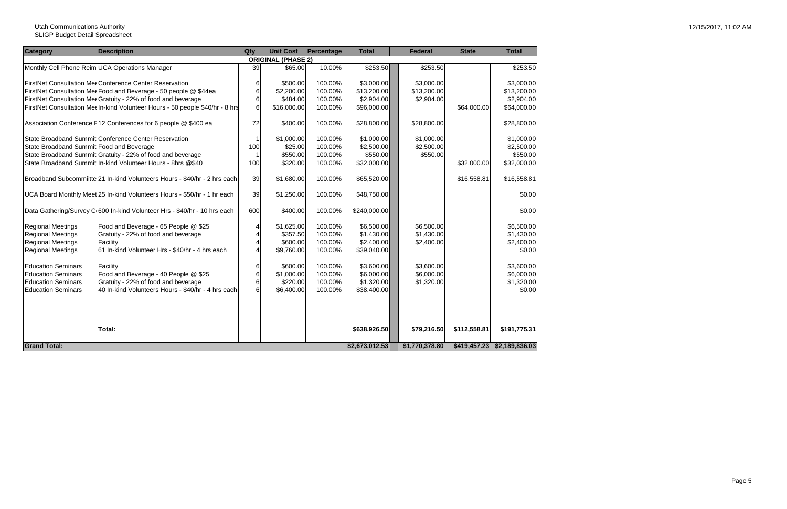#### Utah Communications Authority SLIGP Budget Detail Spreadsheet

| <b>Category</b>                          | <b>Description</b>                                                            | Qty             | <b>Unit Cost</b>          | <b>Percentage</b> | <b>Total</b>   | <b>Federal</b> | <b>State</b> | <b>Total</b>                |
|------------------------------------------|-------------------------------------------------------------------------------|-----------------|---------------------------|-------------------|----------------|----------------|--------------|-----------------------------|
|                                          |                                                                               |                 | <b>ORIGINAL (PHASE 2)</b> |                   |                |                |              |                             |
|                                          | Monthly Cell Phone Reim UCA Operations Manager                                | 39              | \$65.00                   | 10.00%            | \$253.50       | \$253.50       |              | \$253.50                    |
|                                          |                                                                               |                 |                           |                   |                |                |              |                             |
|                                          | <b>FirstNet Consultation MedConference Center Reservation</b>                 | 6               | \$500.00                  | 100.00%           | \$3,000.00]    | \$3,000.00     |              | \$3,000.00                  |
|                                          | FirstNet Consultation Med Food and Beverage - 50 people @ \$44ea              | $6\phantom{1}6$ | \$2,200.00                | 100.00%           | \$13,200.00    | \$13,200.00    |              | \$13,200.00                 |
|                                          | FirstNet Consultation MedGratuity - 22% of food and beverage                  | 6               | \$484.00                  | 100.00%           | \$2,904.00     | \$2,904.00     |              | \$2,904.00                  |
|                                          | FirstNet Consultation Med In-kind Volunteer Hours - 50 people \$40/hr - 8 hrs | 6               | \$16,000.00               | 100.00%           | \$96,000.00    |                | \$64,000.00  | \$64,000.00                 |
|                                          | Association Conference F12 Conferences for 6 people @ \$400 ea                | 72              | \$400.00                  | 100.00%           | \$28,800.00    | \$28,800.00    |              | \$28,800.00                 |
|                                          | State Broadband Summit Conference Center Reservation                          |                 | \$1,000.00                | 100.00%           | \$1,000.00     | \$1,000.00     |              | \$1,000.00]                 |
| State Broadband Summit Food and Beverage |                                                                               | 100             | \$25.00                   | 100.00%           | \$2,500.00     | \$2,500.00     |              | \$2,500.00                  |
|                                          | State Broadband Summit Gratuity - 22% of food and beverage                    |                 | \$550.00                  | 100.00%           | \$550.00       | \$550.00       |              | \$550.00                    |
|                                          | State Broadband Summit In-kind Volunteer Hours - 8hrs @\$40                   | 100             | \$320.00                  | 100.00%           | \$32,000.00    |                | \$32,000.00  | \$32,000.00                 |
|                                          |                                                                               |                 |                           |                   |                |                |              |                             |
|                                          | Broadband Subcommiitte 21 In-kind Volunteers Hours - \$40/hr - 2 hrs each     | 39              | \$1,680.00                | 100.00%           | \$65,520.00    |                | \$16,558.81  | \$16,558.81                 |
|                                          | UCA Board Monthly Meet 25 In-kind Volunteers Hours - \$50/hr - 1 hr each      | 39              | \$1,250.00                | 100.00%           | \$48,750.00    |                |              | \$0.00                      |
|                                          | Data Gathering/Survey C 600 In-kind Volunteer Hrs - \$40/hr - 10 hrs each     | 600             | \$400.00                  | 100.00%           | \$240,000.00   |                |              | \$0.00                      |
| <b>Regional Meetings</b>                 | Food and Beverage - 65 People @ \$25                                          | 4               | \$1,625.00                | 100.00%           | \$6,500.00     | \$6,500.00     |              | \$6,500.00                  |
| <b>Regional Meetings</b>                 | Gratuity - 22% of food and beverage                                           | 4               | \$357.50                  | 100.00%           | \$1,430.00     | \$1,430.00     |              | \$1,430.00                  |
| <b>Regional Meetings</b>                 | Facility                                                                      | 4               | \$600.00                  | 100.00%           | \$2,400.00     | \$2,400.00     |              | \$2,400.00                  |
| <b>Regional Meetings</b>                 | 61 In-kind Volunteer Hrs - \$40/hr - 4 hrs each                               |                 | \$9,760.00                | 100.00%           | \$39,040.00    |                |              | \$0.00                      |
|                                          |                                                                               |                 |                           |                   |                |                |              |                             |
| <b>Education Seminars</b>                | Facility                                                                      | 6               | \$600.00                  | 100.00%           | \$3,600.00     | \$3,600.00     |              | \$3,600.00                  |
| <b>Education Seminars</b>                | Food and Beverage - 40 People @ \$25                                          | 6               | \$1,000.00                | 100.00%           | \$6,000.00     | \$6,000.00     |              | \$6,000.00                  |
| <b>Education Seminars</b>                | Gratuity - 22% of food and beverage                                           | 6               | \$220.00                  | 100.00%           | \$1,320.00     | \$1,320.00     |              | \$1,320.00                  |
| <b>Education Seminars</b>                | 40 In-kind Volunteers Hours - \$40/hr - 4 hrs each                            | $6\phantom{1}$  | \$6,400.00                | 100.00%           | \$38,400.00    |                |              | \$0.00                      |
|                                          |                                                                               |                 |                           |                   |                |                |              |                             |
|                                          |                                                                               |                 |                           |                   |                |                |              |                             |
|                                          |                                                                               |                 |                           |                   |                |                |              |                             |
|                                          | Total:                                                                        |                 |                           |                   | \$638,926.50   | \$79,216.50    | \$112,558.81 | \$191,775.31                |
|                                          |                                                                               |                 |                           |                   |                |                |              |                             |
| <b>Grand Total:</b>                      |                                                                               |                 |                           |                   | \$2,673,012.53 | \$1,770,378.80 |              | \$419,457.23 \$2,189,836.03 |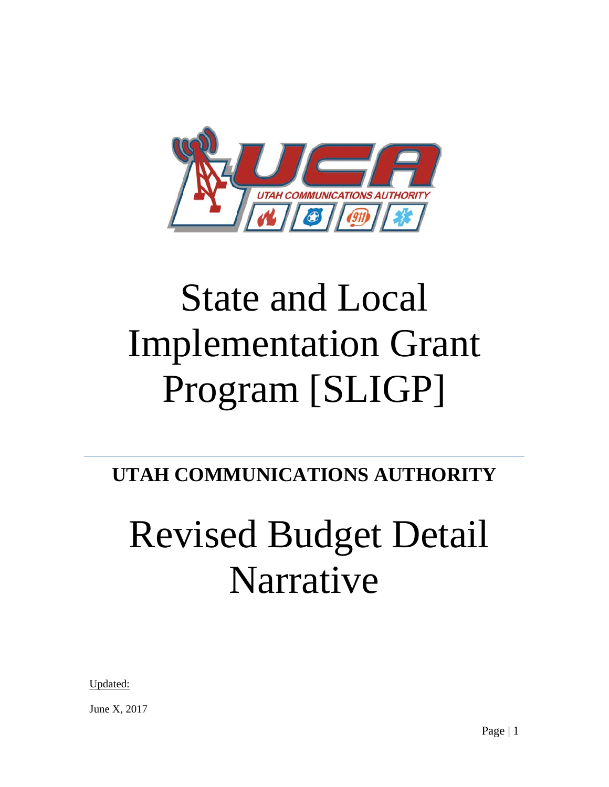

# State and Local Implementation Grant Program [SLIGP]

# **UTAH COMMUNICATIONS AUTHORITY**

# Revised Budget Detail Narrative

Updated:

June X, 2017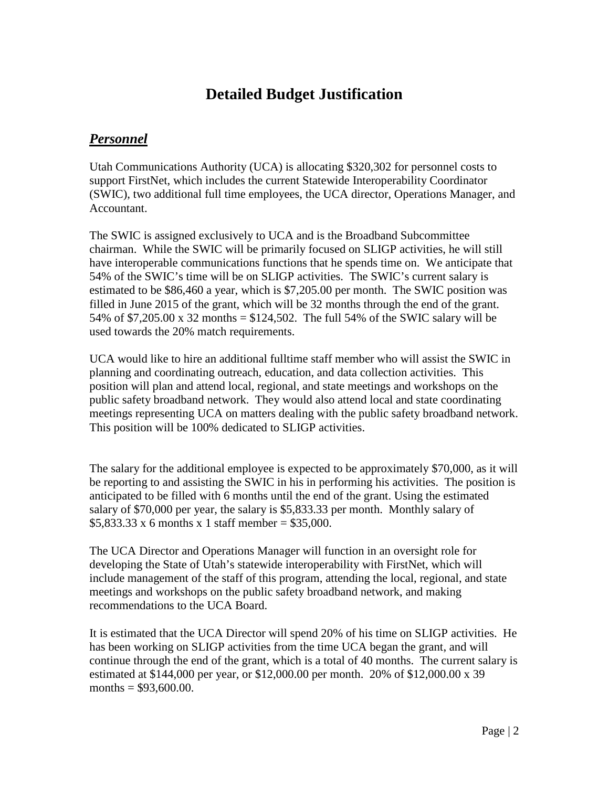## **Detailed Budget Justification**

### *Personnel*

Utah Communications Authority (UCA) is allocating \$320,302 for personnel costs to support FirstNet, which includes the current Statewide Interoperability Coordinator (SWIC), two additional full time employees, the UCA director, Operations Manager, and Accountant.

The SWIC is assigned exclusively to UCA and is the Broadband Subcommittee chairman. While the SWIC will be primarily focused on SLIGP activities, he will still have interoperable communications functions that he spends time on. We anticipate that 54% of the SWIC's time will be on SLIGP activities. The SWIC's current salary is estimated to be \$86,460 a year, which is \$7,205.00 per month. The SWIC position was filled in June 2015 of the grant, which will be 32 months through the end of the grant. 54% of \$7,205.00 x 32 months = \$124,502. The full 54% of the SWIC salary will be used towards the 20% match requirements.

UCA would like to hire an additional fulltime staff member who will assist the SWIC in planning and coordinating outreach, education, and data collection activities. This position will plan and attend local, regional, and state meetings and workshops on the public safety broadband network. They would also attend local and state coordinating meetings representing UCA on matters dealing with the public safety broadband network. This position will be 100% dedicated to SLIGP activities.

The salary for the additional employee is expected to be approximately \$70,000, as it will be reporting to and assisting the SWIC in his in performing his activities. The position is anticipated to be filled with 6 months until the end of the grant. Using the estimated salary of \$70,000 per year, the salary is \$5,833.33 per month. Monthly salary of  $$5,833.33 \times 6$  months x 1 staff member = \$35,000.

The UCA Director and Operations Manager will function in an oversight role for developing the State of Utah's statewide interoperability with FirstNet, which will include management of the staff of this program, attending the local, regional, and state meetings and workshops on the public safety broadband network, and making recommendations to the UCA Board.

It is estimated that the UCA Director will spend 20% of his time on SLIGP activities. He has been working on SLIGP activities from the time UCA began the grant, and will continue through the end of the grant, which is a total of 40 months. The current salary is estimated at \$144,000 per year, or \$12,000.00 per month. 20% of \$12,000.00 x 39 months =  $$93,600.00$ .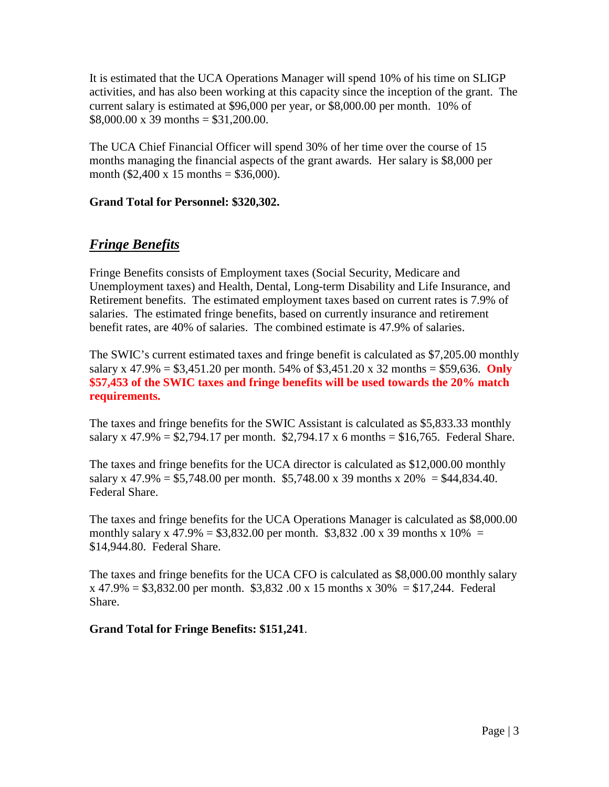It is estimated that the UCA Operations Manager will spend 10% of his time on SLIGP activities, and has also been working at this capacity since the inception of the grant. The current salary is estimated at \$96,000 per year, or \$8,000.00 per month. 10% of  $$8,000.00 \times 39 \text{ months} = $31,200.00$ .

The UCA Chief Financial Officer will spend 30% of her time over the course of 15 months managing the financial aspects of the grant awards. Her salary is \$8,000 per month (\$2,400 x 15 months = \$36,000).

#### **Grand Total for Personnel: \$320,302.**

## *Fringe Benefits*

Fringe Benefits consists of Employment taxes (Social Security, Medicare and Unemployment taxes) and Health, Dental, Long-term Disability and Life Insurance, and Retirement benefits. The estimated employment taxes based on current rates is 7.9% of salaries. The estimated fringe benefits, based on currently insurance and retirement benefit rates, are 40% of salaries. The combined estimate is 47.9% of salaries.

The SWIC's current estimated taxes and fringe benefit is calculated as \$7,205.00 monthly salary x 47.9% = \$3,451.20 per month. 54% of \$3,451.20 x 32 months = \$59,636. **Only \$57,453 of the SWIC taxes and fringe benefits will be used towards the 20% match requirements.**

The taxes and fringe benefits for the SWIC Assistant is calculated as \$5,833.33 monthly salary x 47.9% = \$2,794.17 per month. \$2,794.17 x 6 months = \$16,765. Federal Share.

The taxes and fringe benefits for the UCA director is calculated as \$12,000.00 monthly salary x 47.9% = \$5,748.00 per month. \$5,748.00 x 39 months x  $20\%$  = \$44,834.40. Federal Share.

The taxes and fringe benefits for the UCA Operations Manager is calculated as \$8,000.00 monthly salary x 47.9% = \$3,832.00 per month. \$3,832.00 x 39 months x 10% = \$14,944.80. Federal Share.

The taxes and fringe benefits for the UCA CFO is calculated as \$8,000.00 monthly salary  $x 47.9\% = $3,832.00$  per month. \$3,832 .00 x 15 months x 30% = \$17,244. Federal Share.

**Grand Total for Fringe Benefits: \$151,241**.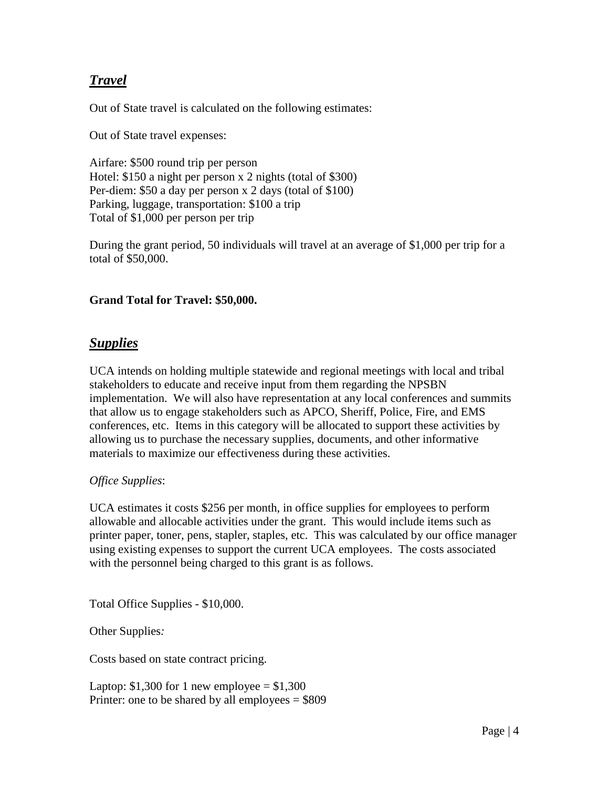### *Travel*

Out of State travel is calculated on the following estimates:

Out of State travel expenses:

Airfare: \$500 round trip per person Hotel: \$150 a night per person x 2 nights (total of \$300) Per-diem: \$50 a day per person x 2 days (total of \$100) Parking, luggage, transportation: \$100 a trip Total of \$1,000 per person per trip

During the grant period, 50 individuals will travel at an average of \$1,000 per trip for a total of \$50,000.

#### **Grand Total for Travel: \$50,000.**

#### *Supplies*

UCA intends on holding multiple statewide and regional meetings with local and tribal stakeholders to educate and receive input from them regarding the NPSBN implementation. We will also have representation at any local conferences and summits that allow us to engage stakeholders such as APCO, Sheriff, Police, Fire, and EMS conferences, etc. Items in this category will be allocated to support these activities by allowing us to purchase the necessary supplies, documents, and other informative materials to maximize our effectiveness during these activities.

#### *Office Supplies*:

UCA estimates it costs \$256 per month, in office supplies for employees to perform allowable and allocable activities under the grant. This would include items such as printer paper, toner, pens, stapler, staples, etc. This was calculated by our office manager using existing expenses to support the current UCA employees. The costs associated with the personnel being charged to this grant is as follows.

Total Office Supplies - \$10,000.

Other Supplies*:*

Costs based on state contract pricing.

Laptop:  $$1,300$  for 1 new employee =  $$1,300$ Printer: one to be shared by all employees  $= $809$